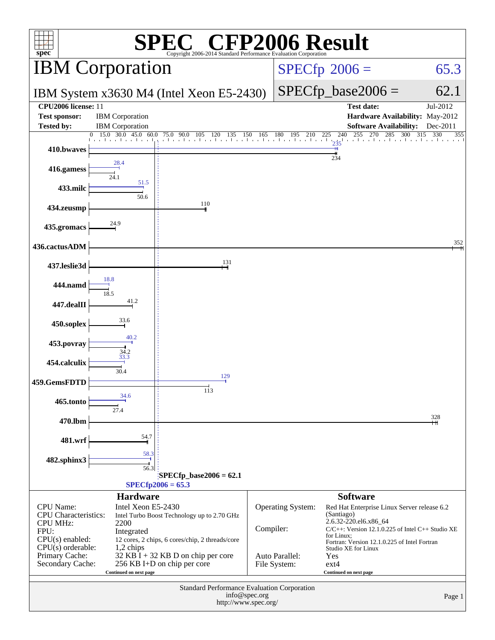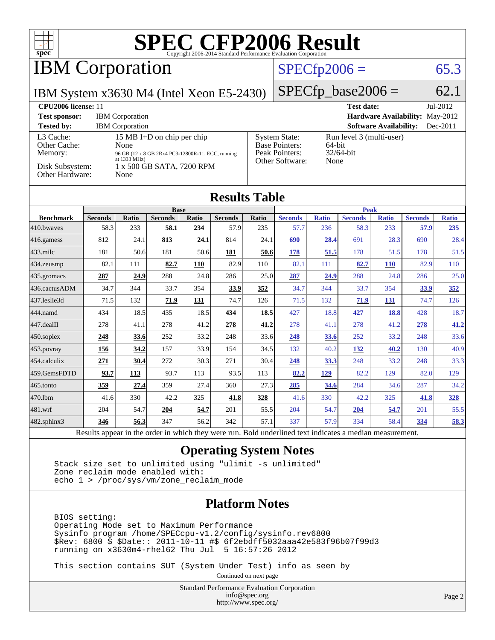

# IBM Corporation

### $SPECTp2006 = 65.3$

IBM System x3630 M4 (Intel Xeon E5-2430)

 $SPECfp\_base2006 = 62.1$ 

| CPU <sub>2006</sub> license: 11                                            |                                                                                                                                                         |                                                                                    | $Jul-2012$<br><b>Test date:</b>                            |
|----------------------------------------------------------------------------|---------------------------------------------------------------------------------------------------------------------------------------------------------|------------------------------------------------------------------------------------|------------------------------------------------------------|
| <b>Test sponsor:</b>                                                       | <b>IBM</b> Corporation                                                                                                                                  |                                                                                    | <b>Hardware Availability: May-2012</b>                     |
| <b>Tested by:</b>                                                          | <b>IBM</b> Corporation                                                                                                                                  |                                                                                    | <b>Software Availability:</b><br>$Dec-2011$                |
| L3 Cache:<br>Other Cache:<br>Memory:<br>Disk Subsystem:<br>Other Hardware: | 15 MB I+D on chip per chip<br>None<br>96 GB (12 x 8 GB 2Rx4 PC3-12800R-11, ECC, running<br>at $1333 \text{ MHz}$ )<br>1 x 500 GB SATA, 7200 RPM<br>None | <b>System State:</b><br><b>Base Pointers:</b><br>Peak Pointers:<br>Other Software: | Run level 3 (multi-user)<br>64-bit<br>$32/64$ -bit<br>None |

### **[Results Table](http://www.spec.org/auto/cpu2006/Docs/result-fields.html#ResultsTable)**

| <b>Base</b>          |                |       |                | <b>Peak</b> |                |       |                |              |                |              |                |              |
|----------------------|----------------|-------|----------------|-------------|----------------|-------|----------------|--------------|----------------|--------------|----------------|--------------|
| <b>Benchmark</b>     | <b>Seconds</b> | Ratio | <b>Seconds</b> | Ratio       | <b>Seconds</b> | Ratio | <b>Seconds</b> | <b>Ratio</b> | <b>Seconds</b> | <b>Ratio</b> | <b>Seconds</b> | <b>Ratio</b> |
| 410.bwayes           | 58.3           | 233   | 58.1           | 234         | 57.9           | 235   | 57.7           | 236          | 58.3           | 233          | 57.9           | 235          |
| 416.gamess           | 812            | 24.1  | 813            | 24.1        | 814            | 24.1  | 690            | 28.4         | 691            | 28.3         | 690            | 28.4         |
| $ 433 \text{.}$ milc | 181            | 50.6  | 181            | 50.6        | 181            | 50.6  | <u>178</u>     | 51.5         | 178            | 51.5         | 178            | 51.5         |
| $ 434$ . zeusmp      | 82.1           | 111   | 82.7           | 110         | 82.9           | 110   | 82.1           | 111          | 82.7           | <b>110</b>   | 82.9           | 110          |
| 435.gromacs          | 287            | 24.9  | 288            | 24.8        | 286            | 25.0  | <u>287</u>     | 24.9         | 288            | 24.8         | 286            | 25.0         |
| 436.cactusADM        | 34.7           | 344   | 33.7           | 354         | 33.9           | 352   | 34.7           | 344          | 33.7           | 354          | 33.9           | 352          |
| 437.leslie3d         | 71.5           | 132   | 71.9           | 131         | 74.7           | 126   | 71.5           | 132          | 71.9           | <u>131</u>   | 74.7           | 126          |
| 444.namd             | 434            | 18.5  | 435            | 18.5        | 434            | 18.5  | 427            | 18.8         | 427            | 18.8         | 428            | 18.7         |
| 447.dealII           | 278            | 41.1  | 278            | 41.2        | 278            | 41.2  | 278            | 41.1         | 278            | 41.2         | 278            | 41.2         |
| $ 450$ .soplex       | 248            | 33.6  | 252            | 33.2        | 248            | 33.6  | 248            | 33.6         | 252            | 33.2         | 248            | 33.6         |
| $ 453$ . povray      | 156            | 34.2  | 157            | 33.9        | 154            | 34.5  | 132            | 40.2         | <u>132</u>     | <b>40.2</b>  | 130            | 40.9         |
| $454$ .calculix      | 271            | 30.4  | 272            | 30.3        | 271            | 30.4  | 248            | 33.3         | 248            | 33.2         | 248            | 33.3         |
| 459.GemsFDTD         | 93.7           | 113   | 93.7           | 113         | 93.5           | 113   | 82.2           | <u>129</u>   | 82.2           | 129          | 82.0           | 129          |
| 465.tonto            | <u>359</u>     | 27.4  | 359            | 27.4        | 360            | 27.3  | 285            | 34.6         | 284            | 34.6         | 287            | 34.2         |
| 470.1bm              | 41.6           | 330   | 42.2           | 325         | 41.8           | 328   | 41.6           | 330          | 42.2           | 325          | 41.8           | 328          |
| $ 481$ .wrf          | 204            | 54.7  | 204            | 54.7        | 201            | 55.5  | 204            | 54.7         | 204            | 54.7         | 201            | 55.5         |
| 482.sphinx3          | 346            | 56.3  | 347            | 56.2        | 342            | 57.1  | 337            | 57.9         | 334            | 58.4         | 334            | 58.3         |
|                      |                |       |                |             |                |       |                |              |                |              |                |              |

Results appear in the [order in which they were run.](http://www.spec.org/auto/cpu2006/Docs/result-fields.html#RunOrder) Bold underlined text [indicates a median measurement.](http://www.spec.org/auto/cpu2006/Docs/result-fields.html#Median)

### **[Operating System Notes](http://www.spec.org/auto/cpu2006/Docs/result-fields.html#OperatingSystemNotes)**

 Stack size set to unlimited using "ulimit -s unlimited" Zone reclaim mode enabled with: echo 1 > /proc/sys/vm/zone\_reclaim\_mode

### **[Platform Notes](http://www.spec.org/auto/cpu2006/Docs/result-fields.html#PlatformNotes)**

 BIOS setting: Operating Mode set to Maximum Performance Sysinfo program /home/SPECcpu-v1.2/config/sysinfo.rev6800 \$Rev: 6800 \$ \$Date:: 2011-10-11 #\$ 6f2ebdff5032aaa42e583f96b07f99d3 running on x3630m4-rhel62 Thu Jul 5 16:57:26 2012

This section contains SUT (System Under Test) info as seen by

Continued on next page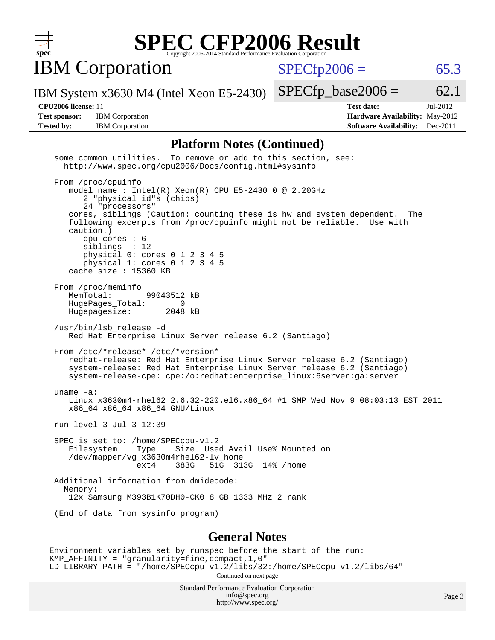

**IBM Corporation** 

 $SPECfp2006 = 65.3$  $SPECfp2006 = 65.3$ 

Page 3

IBM System x3630 M4 (Intel Xeon E5-2430)

**[Tested by:](http://www.spec.org/auto/cpu2006/Docs/result-fields.html#Testedby)** IBM Corporation **[Software Availability:](http://www.spec.org/auto/cpu2006/Docs/result-fields.html#SoftwareAvailability)** Dec-2011

**[CPU2006 license:](http://www.spec.org/auto/cpu2006/Docs/result-fields.html#CPU2006license)** 11 **[Test date:](http://www.spec.org/auto/cpu2006/Docs/result-fields.html#Testdate)** Jul-2012 **[Test sponsor:](http://www.spec.org/auto/cpu2006/Docs/result-fields.html#Testsponsor)** IBM Corporation **[Hardware Availability:](http://www.spec.org/auto/cpu2006/Docs/result-fields.html#HardwareAvailability)** May-2012

 $SPECTp\_base2006 = 62.1$ 

### **[Platform Notes \(Continued\)](http://www.spec.org/auto/cpu2006/Docs/result-fields.html#PlatformNotes)**

| some common utilities. To remove or add to this section, see:<br>http://www.spec.org/cpu2006/Docs/config.html#sysinfo                                                                                                                                                                                                                                                                                                     |
|---------------------------------------------------------------------------------------------------------------------------------------------------------------------------------------------------------------------------------------------------------------------------------------------------------------------------------------------------------------------------------------------------------------------------|
| From /proc/cpuinfo<br>model name : Intel(R) Xeon(R) CPU E5-2430 0 @ 2.20GHz<br>2 "physical id"s (chips)<br>24 "processors"<br>cores, siblings (Caution: counting these is hw and system dependent. The<br>following excerpts from /proc/cpuinfo might not be reliable. Use with<br>caution.)<br>cpu cores : 6<br>siblings : 12<br>physical 0: cores 0 1 2 3 4 5<br>physical 1: cores 0 1 2 3 4 5<br>cache size : 15360 KB |
| From /proc/meminfo<br>MemTotal:<br>99043512 kB<br>HugePages_Total: 0<br>Hugepagesize: 2048 kB                                                                                                                                                                                                                                                                                                                             |
| /usr/bin/lsb_release -d<br>Red Hat Enterprise Linux Server release 6.2 (Santiago)                                                                                                                                                                                                                                                                                                                                         |
| From /etc/*release* /etc/*version*<br>redhat-release: Red Hat Enterprise Linux Server release 6.2 (Santiago)<br>system-release: Red Hat Enterprise Linux Server release 6.2 (Santiago)<br>system-release-cpe: cpe:/o:redhat:enterprise linux:6server:qa:server                                                                                                                                                            |
| uname $-a$ :<br>Linux x3630m4-rhel62 2.6.32-220.el6.x86_64 #1 SMP Wed Nov 9 08:03:13 EST 2011<br>x86_64 x86_64 x86_64 GNU/Linux                                                                                                                                                                                                                                                                                           |
| run-level 3 Jul 3 12:39                                                                                                                                                                                                                                                                                                                                                                                                   |
| SPEC is set to: /home/SPECcpu-v1.2<br>Filesystem Type Size Used Avail Use% Mounted on<br>/dev/mapper/vg_x3630m4rhel62-lv_home<br>$ext4$ 383G<br>51G 313G 14% / home                                                                                                                                                                                                                                                       |
| Additional information from dmidecode:<br>Memory:<br>12x Samsung M393B1K70DH0-CK0 8 GB 1333 MHz 2 rank                                                                                                                                                                                                                                                                                                                    |
| (End of data from sysinfo program)                                                                                                                                                                                                                                                                                                                                                                                        |
| <b>General Notes</b>                                                                                                                                                                                                                                                                                                                                                                                                      |
| Environment variables set by runspec before the start of the run:<br>KMP_AFFINITY = "granularity=fine, compact, 1, 0"<br>LD_LIBRARY_PATH = "/home/SPECcpu-v1.2/libs/32:/home/SPECcpu-v1.2/libs/64"<br>Continued on next page                                                                                                                                                                                              |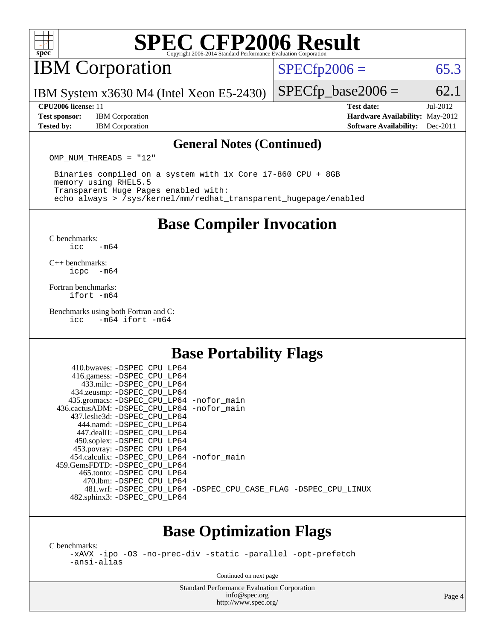

# IBM Corporation

 $SPECTp2006 = 65.3$ 

IBM System x3630 M4 (Intel Xeon E5-2430)

**[Test sponsor:](http://www.spec.org/auto/cpu2006/Docs/result-fields.html#Testsponsor)** IBM Corporation **[Hardware Availability:](http://www.spec.org/auto/cpu2006/Docs/result-fields.html#HardwareAvailability)** May-2012

 $SPECTp\_base2006 = 62.1$ **[CPU2006 license:](http://www.spec.org/auto/cpu2006/Docs/result-fields.html#CPU2006license)** 11 **[Test date:](http://www.spec.org/auto/cpu2006/Docs/result-fields.html#Testdate)** Jul-2012

**[Tested by:](http://www.spec.org/auto/cpu2006/Docs/result-fields.html#Testedby)** IBM Corporation **[Software Availability:](http://www.spec.org/auto/cpu2006/Docs/result-fields.html#SoftwareAvailability)** Dec-2011

#### **[General Notes \(Continued\)](http://www.spec.org/auto/cpu2006/Docs/result-fields.html#GeneralNotes)**

OMP NUM THREADS = "12"

 Binaries compiled on a system with 1x Core i7-860 CPU + 8GB memory using RHEL5.5 Transparent Huge Pages enabled with: echo always > /sys/kernel/mm/redhat\_transparent\_hugepage/enabled

**[Base Compiler Invocation](http://www.spec.org/auto/cpu2006/Docs/result-fields.html#BaseCompilerInvocation)**

[C benchmarks](http://www.spec.org/auto/cpu2006/Docs/result-fields.html#Cbenchmarks):  $\text{icc}$   $-\text{m64}$ 

[C++ benchmarks:](http://www.spec.org/auto/cpu2006/Docs/result-fields.html#CXXbenchmarks) [icpc -m64](http://www.spec.org/cpu2006/results/res2012q3/cpu2006-20120710-23554.flags.html#user_CXXbase_intel_icpc_64bit_bedb90c1146cab66620883ef4f41a67e)

[Fortran benchmarks](http://www.spec.org/auto/cpu2006/Docs/result-fields.html#Fortranbenchmarks): [ifort -m64](http://www.spec.org/cpu2006/results/res2012q3/cpu2006-20120710-23554.flags.html#user_FCbase_intel_ifort_64bit_ee9d0fb25645d0210d97eb0527dcc06e)

[Benchmarks using both Fortran and C](http://www.spec.org/auto/cpu2006/Docs/result-fields.html#BenchmarksusingbothFortranandC):<br>icc -m64 ifort -m64  $-m64$  ifort  $-m64$ 

## **[Base Portability Flags](http://www.spec.org/auto/cpu2006/Docs/result-fields.html#BasePortabilityFlags)**

| 410.bwaves: -DSPEC CPU LP64                  |                                                                |
|----------------------------------------------|----------------------------------------------------------------|
| 416.gamess: -DSPEC_CPU_LP64                  |                                                                |
| 433.milc: -DSPEC CPU LP64                    |                                                                |
| 434.zeusmp: - DSPEC_CPU_LP64                 |                                                                |
| 435.gromacs: -DSPEC_CPU_LP64 -nofor_main     |                                                                |
| 436.cactusADM: - DSPEC CPU LP64 - nofor main |                                                                |
| 437.leslie3d: -DSPEC CPU LP64                |                                                                |
| 444.namd: - DSPEC CPU LP64                   |                                                                |
| 447.dealII: -DSPEC CPU LP64                  |                                                                |
| 450.soplex: -DSPEC_CPU_LP64                  |                                                                |
| 453.povray: -DSPEC_CPU_LP64                  |                                                                |
| 454.calculix: - DSPEC CPU LP64 - nofor main  |                                                                |
| 459. GemsFDTD: - DSPEC CPU LP64              |                                                                |
| 465.tonto: - DSPEC CPU LP64                  |                                                                |
| 470.1bm: - DSPEC CPU LP64                    |                                                                |
|                                              | 481.wrf: -DSPEC CPU_LP64 -DSPEC_CPU_CASE_FLAG -DSPEC_CPU_LINUX |
| 482.sphinx3: -DSPEC_CPU_LP64                 |                                                                |
|                                              |                                                                |

## **[Base Optimization Flags](http://www.spec.org/auto/cpu2006/Docs/result-fields.html#BaseOptimizationFlags)**

[C benchmarks](http://www.spec.org/auto/cpu2006/Docs/result-fields.html#Cbenchmarks):

[-xAVX](http://www.spec.org/cpu2006/results/res2012q3/cpu2006-20120710-23554.flags.html#user_CCbase_f-xAVX) [-ipo](http://www.spec.org/cpu2006/results/res2012q3/cpu2006-20120710-23554.flags.html#user_CCbase_f-ipo) [-O3](http://www.spec.org/cpu2006/results/res2012q3/cpu2006-20120710-23554.flags.html#user_CCbase_f-O3) [-no-prec-div](http://www.spec.org/cpu2006/results/res2012q3/cpu2006-20120710-23554.flags.html#user_CCbase_f-no-prec-div) [-static](http://www.spec.org/cpu2006/results/res2012q3/cpu2006-20120710-23554.flags.html#user_CCbase_f-static) [-parallel](http://www.spec.org/cpu2006/results/res2012q3/cpu2006-20120710-23554.flags.html#user_CCbase_f-parallel) [-opt-prefetch](http://www.spec.org/cpu2006/results/res2012q3/cpu2006-20120710-23554.flags.html#user_CCbase_f-opt-prefetch) [-ansi-alias](http://www.spec.org/cpu2006/results/res2012q3/cpu2006-20120710-23554.flags.html#user_CCbase_f-ansi-alias)

Continued on next page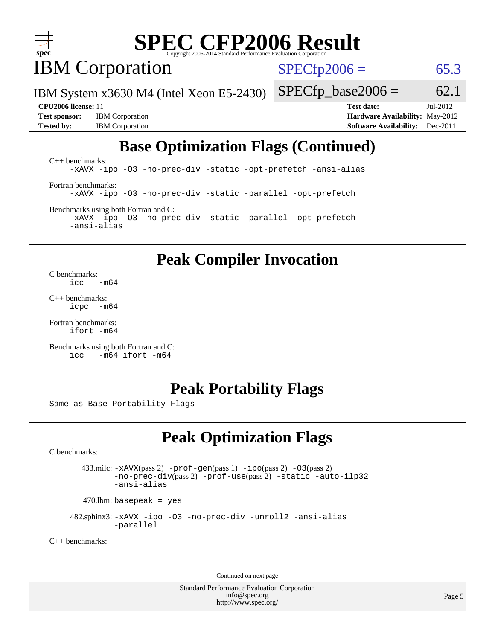

**IBM** Corporation

 $SPECTp2006 = 65.3$ 

IBM System x3630 M4 (Intel Xeon E5-2430)

**[Test sponsor:](http://www.spec.org/auto/cpu2006/Docs/result-fields.html#Testsponsor)** IBM Corporation **[Hardware Availability:](http://www.spec.org/auto/cpu2006/Docs/result-fields.html#HardwareAvailability)** May-2012 **[Tested by:](http://www.spec.org/auto/cpu2006/Docs/result-fields.html#Testedby)** IBM Corporation **[Software Availability:](http://www.spec.org/auto/cpu2006/Docs/result-fields.html#SoftwareAvailability)** Dec-2011

 $SPECTp\_base2006 = 62.1$ 

**[CPU2006 license:](http://www.spec.org/auto/cpu2006/Docs/result-fields.html#CPU2006license)** 11 **[Test date:](http://www.spec.org/auto/cpu2006/Docs/result-fields.html#Testdate)** Jul-2012

# **[Base Optimization Flags \(Continued\)](http://www.spec.org/auto/cpu2006/Docs/result-fields.html#BaseOptimizationFlags)**

[C++ benchmarks:](http://www.spec.org/auto/cpu2006/Docs/result-fields.html#CXXbenchmarks) [-xAVX](http://www.spec.org/cpu2006/results/res2012q3/cpu2006-20120710-23554.flags.html#user_CXXbase_f-xAVX) [-ipo](http://www.spec.org/cpu2006/results/res2012q3/cpu2006-20120710-23554.flags.html#user_CXXbase_f-ipo) [-O3](http://www.spec.org/cpu2006/results/res2012q3/cpu2006-20120710-23554.flags.html#user_CXXbase_f-O3) [-no-prec-div](http://www.spec.org/cpu2006/results/res2012q3/cpu2006-20120710-23554.flags.html#user_CXXbase_f-no-prec-div) [-static](http://www.spec.org/cpu2006/results/res2012q3/cpu2006-20120710-23554.flags.html#user_CXXbase_f-static) [-opt-prefetch](http://www.spec.org/cpu2006/results/res2012q3/cpu2006-20120710-23554.flags.html#user_CXXbase_f-opt-prefetch) [-ansi-alias](http://www.spec.org/cpu2006/results/res2012q3/cpu2006-20120710-23554.flags.html#user_CXXbase_f-ansi-alias) [Fortran benchmarks](http://www.spec.org/auto/cpu2006/Docs/result-fields.html#Fortranbenchmarks): [-xAVX](http://www.spec.org/cpu2006/results/res2012q3/cpu2006-20120710-23554.flags.html#user_FCbase_f-xAVX) [-ipo](http://www.spec.org/cpu2006/results/res2012q3/cpu2006-20120710-23554.flags.html#user_FCbase_f-ipo) [-O3](http://www.spec.org/cpu2006/results/res2012q3/cpu2006-20120710-23554.flags.html#user_FCbase_f-O3) [-no-prec-div](http://www.spec.org/cpu2006/results/res2012q3/cpu2006-20120710-23554.flags.html#user_FCbase_f-no-prec-div) [-static](http://www.spec.org/cpu2006/results/res2012q3/cpu2006-20120710-23554.flags.html#user_FCbase_f-static) [-parallel](http://www.spec.org/cpu2006/results/res2012q3/cpu2006-20120710-23554.flags.html#user_FCbase_f-parallel) [-opt-prefetch](http://www.spec.org/cpu2006/results/res2012q3/cpu2006-20120710-23554.flags.html#user_FCbase_f-opt-prefetch)

[Benchmarks using both Fortran and C](http://www.spec.org/auto/cpu2006/Docs/result-fields.html#BenchmarksusingbothFortranandC): [-xAVX](http://www.spec.org/cpu2006/results/res2012q3/cpu2006-20120710-23554.flags.html#user_CC_FCbase_f-xAVX) [-ipo](http://www.spec.org/cpu2006/results/res2012q3/cpu2006-20120710-23554.flags.html#user_CC_FCbase_f-ipo) [-O3](http://www.spec.org/cpu2006/results/res2012q3/cpu2006-20120710-23554.flags.html#user_CC_FCbase_f-O3) [-no-prec-div](http://www.spec.org/cpu2006/results/res2012q3/cpu2006-20120710-23554.flags.html#user_CC_FCbase_f-no-prec-div) [-static](http://www.spec.org/cpu2006/results/res2012q3/cpu2006-20120710-23554.flags.html#user_CC_FCbase_f-static) [-parallel](http://www.spec.org/cpu2006/results/res2012q3/cpu2006-20120710-23554.flags.html#user_CC_FCbase_f-parallel) [-opt-prefetch](http://www.spec.org/cpu2006/results/res2012q3/cpu2006-20120710-23554.flags.html#user_CC_FCbase_f-opt-prefetch) [-ansi-alias](http://www.spec.org/cpu2006/results/res2012q3/cpu2006-20120710-23554.flags.html#user_CC_FCbase_f-ansi-alias)

## **[Peak Compiler Invocation](http://www.spec.org/auto/cpu2006/Docs/result-fields.html#PeakCompilerInvocation)**

[C benchmarks](http://www.spec.org/auto/cpu2006/Docs/result-fields.html#Cbenchmarks):  $\frac{1}{2}$ cc  $-\text{m64}$ 

[C++ benchmarks:](http://www.spec.org/auto/cpu2006/Docs/result-fields.html#CXXbenchmarks) [icpc -m64](http://www.spec.org/cpu2006/results/res2012q3/cpu2006-20120710-23554.flags.html#user_CXXpeak_intel_icpc_64bit_bedb90c1146cab66620883ef4f41a67e)

[Fortran benchmarks](http://www.spec.org/auto/cpu2006/Docs/result-fields.html#Fortranbenchmarks): [ifort -m64](http://www.spec.org/cpu2006/results/res2012q3/cpu2006-20120710-23554.flags.html#user_FCpeak_intel_ifort_64bit_ee9d0fb25645d0210d97eb0527dcc06e)

[Benchmarks using both Fortran and C](http://www.spec.org/auto/cpu2006/Docs/result-fields.html#BenchmarksusingbothFortranandC): [icc -m64](http://www.spec.org/cpu2006/results/res2012q3/cpu2006-20120710-23554.flags.html#user_CC_FCpeak_intel_icc_64bit_0b7121f5ab7cfabee23d88897260401c) [ifort -m64](http://www.spec.org/cpu2006/results/res2012q3/cpu2006-20120710-23554.flags.html#user_CC_FCpeak_intel_ifort_64bit_ee9d0fb25645d0210d97eb0527dcc06e)

## **[Peak Portability Flags](http://www.spec.org/auto/cpu2006/Docs/result-fields.html#PeakPortabilityFlags)**

Same as Base Portability Flags

# **[Peak Optimization Flags](http://www.spec.org/auto/cpu2006/Docs/result-fields.html#PeakOptimizationFlags)**

[C benchmarks](http://www.spec.org/auto/cpu2006/Docs/result-fields.html#Cbenchmarks):

 433.milc: [-xAVX](http://www.spec.org/cpu2006/results/res2012q3/cpu2006-20120710-23554.flags.html#user_peakPASS2_CFLAGSPASS2_LDFLAGS433_milc_f-xAVX)(pass 2) [-prof-gen](http://www.spec.org/cpu2006/results/res2012q3/cpu2006-20120710-23554.flags.html#user_peakPASS1_CFLAGSPASS1_LDFLAGS433_milc_prof_gen_e43856698f6ca7b7e442dfd80e94a8fc)(pass 1) [-ipo](http://www.spec.org/cpu2006/results/res2012q3/cpu2006-20120710-23554.flags.html#user_peakPASS2_CFLAGSPASS2_LDFLAGS433_milc_f-ipo)(pass 2) [-O3](http://www.spec.org/cpu2006/results/res2012q3/cpu2006-20120710-23554.flags.html#user_peakPASS2_CFLAGSPASS2_LDFLAGS433_milc_f-O3)(pass 2) [-no-prec-div](http://www.spec.org/cpu2006/results/res2012q3/cpu2006-20120710-23554.flags.html#user_peakPASS2_CFLAGSPASS2_LDFLAGS433_milc_f-no-prec-div)(pass 2) [-prof-use](http://www.spec.org/cpu2006/results/res2012q3/cpu2006-20120710-23554.flags.html#user_peakPASS2_CFLAGSPASS2_LDFLAGS433_milc_prof_use_bccf7792157ff70d64e32fe3e1250b55)(pass 2) [-static](http://www.spec.org/cpu2006/results/res2012q3/cpu2006-20120710-23554.flags.html#user_peakOPTIMIZE433_milc_f-static) [-auto-ilp32](http://www.spec.org/cpu2006/results/res2012q3/cpu2006-20120710-23554.flags.html#user_peakCOPTIMIZE433_milc_f-auto-ilp32) [-ansi-alias](http://www.spec.org/cpu2006/results/res2012q3/cpu2006-20120710-23554.flags.html#user_peakCOPTIMIZE433_milc_f-ansi-alias)

 $470.$ lbm: basepeak = yes

 482.sphinx3: [-xAVX](http://www.spec.org/cpu2006/results/res2012q3/cpu2006-20120710-23554.flags.html#user_peakOPTIMIZE482_sphinx3_f-xAVX) [-ipo](http://www.spec.org/cpu2006/results/res2012q3/cpu2006-20120710-23554.flags.html#user_peakOPTIMIZE482_sphinx3_f-ipo) [-O3](http://www.spec.org/cpu2006/results/res2012q3/cpu2006-20120710-23554.flags.html#user_peakOPTIMIZE482_sphinx3_f-O3) [-no-prec-div](http://www.spec.org/cpu2006/results/res2012q3/cpu2006-20120710-23554.flags.html#user_peakOPTIMIZE482_sphinx3_f-no-prec-div) [-unroll2](http://www.spec.org/cpu2006/results/res2012q3/cpu2006-20120710-23554.flags.html#user_peakCOPTIMIZE482_sphinx3_f-unroll_784dae83bebfb236979b41d2422d7ec2) [-ansi-alias](http://www.spec.org/cpu2006/results/res2012q3/cpu2006-20120710-23554.flags.html#user_peakCOPTIMIZE482_sphinx3_f-ansi-alias) [-parallel](http://www.spec.org/cpu2006/results/res2012q3/cpu2006-20120710-23554.flags.html#user_peakCOPTIMIZE482_sphinx3_f-parallel)

[C++ benchmarks:](http://www.spec.org/auto/cpu2006/Docs/result-fields.html#CXXbenchmarks)

Continued on next page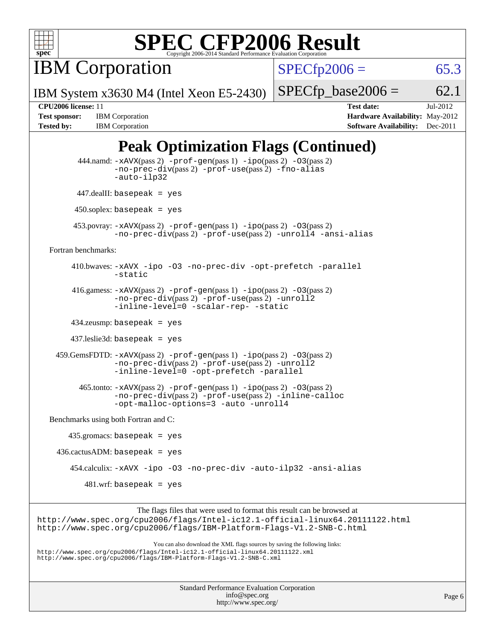

**IBM Corporation** 

 $SPECTp2006 = 65.3$ 

IBM System x3630 M4 (Intel Xeon E5-2430)

 $SPECTp\_base2006 = 62.1$ 

**[Tested by:](http://www.spec.org/auto/cpu2006/Docs/result-fields.html#Testedby)** IBM Corporation **[Software Availability:](http://www.spec.org/auto/cpu2006/Docs/result-fields.html#SoftwareAvailability)** Dec-2011

**[CPU2006 license:](http://www.spec.org/auto/cpu2006/Docs/result-fields.html#CPU2006license)** 11 **[Test date:](http://www.spec.org/auto/cpu2006/Docs/result-fields.html#Testdate)** Jul-2012 [Test sponsor:](http://www.spec.org/auto/cpu2006/Docs/result-fields.html#Testsponsor) IBM Corporation **[Hardware Availability:](http://www.spec.org/auto/cpu2006/Docs/result-fields.html#HardwareAvailability)** May-2012

# **[Peak Optimization Flags \(Continued\)](http://www.spec.org/auto/cpu2006/Docs/result-fields.html#PeakOptimizationFlags)**

|                                      | 444.namd: -xAVX(pass 2) -prof-gen(pass 1) -ipo(pass 2) -03(pass 2)<br>$-$ no-prec-div(pass 2) $-$ prof-use(pass 2) $-$ fno-alias<br>-auto-ilp32                                                                                   |
|--------------------------------------|-----------------------------------------------------------------------------------------------------------------------------------------------------------------------------------------------------------------------------------|
|                                      | $447$ .dealII: basepeak = yes                                                                                                                                                                                                     |
|                                      | $450$ .soplex: basepeak = yes                                                                                                                                                                                                     |
|                                      | 453. povray: $-xAVX(pass 2)$ -prof-gen(pass 1) -ipo(pass 2) -03(pass 2)<br>$-no\text{-prec-div}(pass 2)$ -prof-use(pass 2) -unroll4 -ansi-alias                                                                                   |
| Fortran benchmarks:                  |                                                                                                                                                                                                                                   |
|                                      | 410.bwaves: -xAVX -ipo -03 -no-prec-div -opt-prefetch -parallel<br>-static                                                                                                                                                        |
|                                      | 416.gamess: $-xAVX(pass 2)$ -prof-gen(pass 1) -ipo(pass 2) -03(pass 2)<br>-no-prec-div(pass 2) -prof-use(pass 2) -unroll2<br>-inline-level=0 -scalar-rep- -static                                                                 |
|                                      | $434$ .zeusmp: basepeak = yes                                                                                                                                                                                                     |
|                                      | $437$ .leslie3d: basepeak = yes                                                                                                                                                                                                   |
|                                      | $459.GemsFDTD: -xAVX(pass 2) -proj-gen(pass 1) -ipo(pass 2) -03(pass 2)$<br>$-no\text{-prec-div}(pass 2)$ -prof-use(pass 2) -unroll2<br>-inline-level=0 -opt-prefetch -parallel                                                   |
|                                      | $465$ .tonto: $-xAVX(pass 2)$ -prof-gen(pass 1) -ipo(pass 2) -03(pass 2)<br>-no-prec-div(pass 2) -prof-use(pass 2) -inline-calloc<br>-opt-malloc-options=3 -auto -unroll4                                                         |
| Benchmarks using both Fortran and C: |                                                                                                                                                                                                                                   |
|                                      | $435$ .gromacs: basepeak = yes                                                                                                                                                                                                    |
|                                      | $436.cactusADM:basepeak = yes$                                                                                                                                                                                                    |
|                                      | 454.calculix: -xAVX -ipo -03 -no-prec-div -auto-ilp32 -ansi-alias                                                                                                                                                                 |
|                                      | $481.wrf$ : basepeak = yes                                                                                                                                                                                                        |
|                                      | The flags files that were used to format this result can be browsed at<br>http://www.spec.org/cpu2006/flags/Intel-ic12.1-official-linux64.20111122.html<br>http://www.spec.org/cpu2006/flags/IBM-Platform-Flags-V1.2-SNB-C.html   |
|                                      | You can also download the XML flags sources by saving the following links:<br>http://www.spec.org/cpu2006/flags/Intel-icl2.1-official-linux64.20111122.xml<br>http://www.spec.org/cpu2006/flags/IBM-Platform-Flags-V1.2-SNB-C.xml |